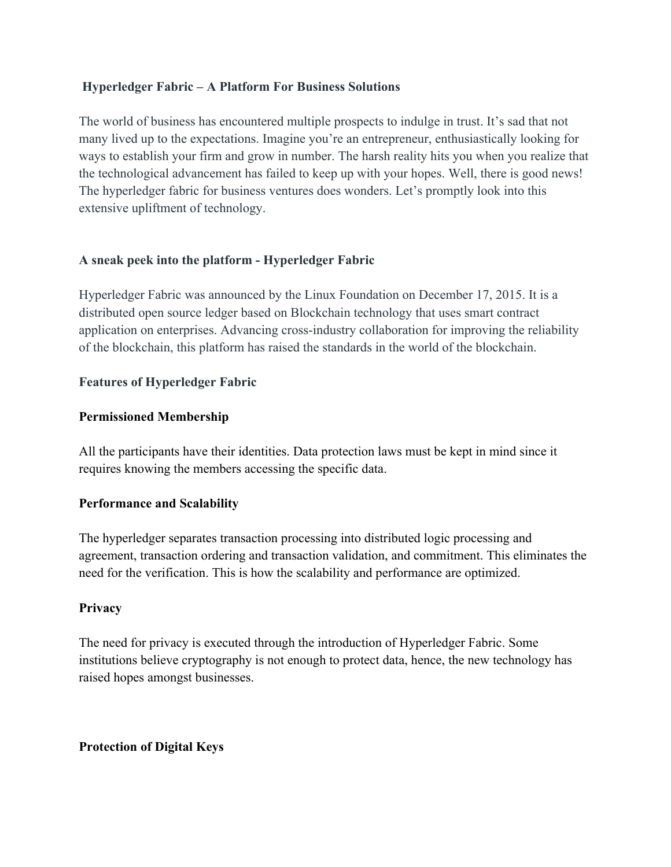## **Hyperledger Fabric – A Platform For Business Solutions**

The world of business has encountered multiple prospects to indulge in trust. It's sad that not many lived up to the expectations. Imagine you're an entrepreneur, enthusiastically looking for ways to establish your firm and grow in number. The harsh reality hits you when you realize that the technological advancement has failed to keep up with your hopes. Well, there is good news! The hyperledger fabric for business ventures does wonders. Let's promptly look into this extensive upliftment of technology.

# **A sneak peek into the platform - Hyperledger Fabric**

Hyperledger Fabric was announced by the Linux Foundation on December 17, 2015. It is a distributed open source ledger based on Blockchain technology that uses smart contract application on enterprises. Advancing cross-industry collaboration for improving the reliability of the blockchain, this platform has raised the standards in the world of the blockchain.

## **Features of Hyperledger Fabric**

## **Permissioned Membership**

All the participants have their identities. Data protection laws must be kept in mind since it requires knowing the members accessing the specific data.

## **Performance and Scalability**

The hyperledger separates transaction processing into distributed logic processing and agreement, transaction ordering and transaction validation, and commitment. This eliminates the need for the verification. This is how the scalability and performance are optimized.

## **Privacy**

The need for privacy is executed through the introduction of Hyperledger Fabric. Some institutions believe cryptography is not enough to protect data, hence, the new technology has raised hopes amongst businesses.

## **Protection of Digital Keys**